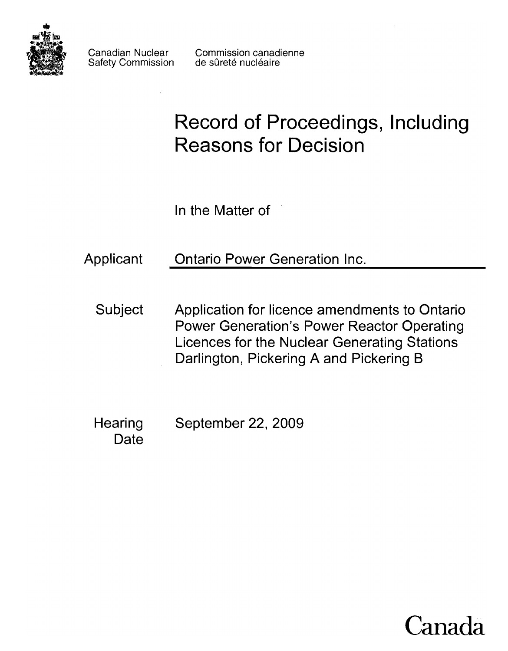

Safety Commission

Canadian Nuclear Commission canadienne<br>Safety Commission de sûreté nucléaire

# **Record of Proceedings, Including Reasons for Decision**

In the Matter of

Applicant Ontario Power Generation Inc.

- Subject Application for licence amendments to Ontario Power Generation's Power Reactor Operating Licences for the Nuclear Generating Stations Darlington, Pickering A and Pickering B
- **Hearing Date** September 22, 2009

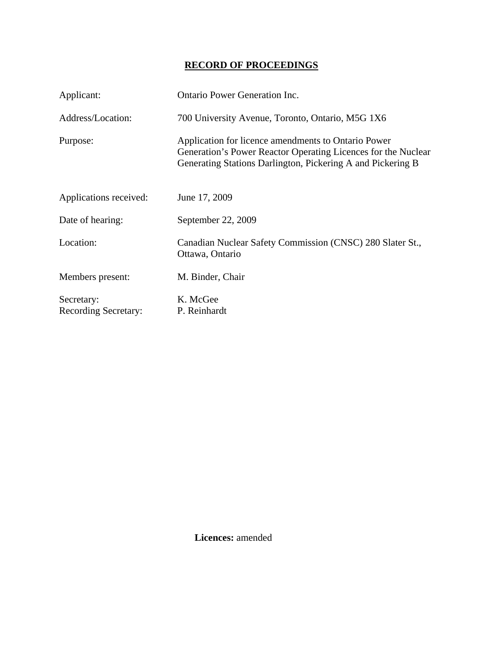## **RECORD OF PROCEEDINGS**

| Applicant:                         | <b>Ontario Power Generation Inc.</b>                                                                                                                                                |
|------------------------------------|-------------------------------------------------------------------------------------------------------------------------------------------------------------------------------------|
| Address/Location:                  | 700 University Avenue, Toronto, Ontario, M5G 1X6                                                                                                                                    |
| Purpose:                           | Application for licence amendments to Ontario Power<br>Generation's Power Reactor Operating Licences for the Nuclear<br>Generating Stations Darlington, Pickering A and Pickering B |
| Applications received:             | June 17, 2009                                                                                                                                                                       |
| Date of hearing:                   | September 22, 2009                                                                                                                                                                  |
| Location:                          | Canadian Nuclear Safety Commission (CNSC) 280 Slater St.,<br>Ottawa, Ontario                                                                                                        |
| Members present:                   | M. Binder, Chair                                                                                                                                                                    |
| Secretary:<br>Recording Secretary: | K. McGee<br>P. Reinhardt                                                                                                                                                            |

 **Licences:** amended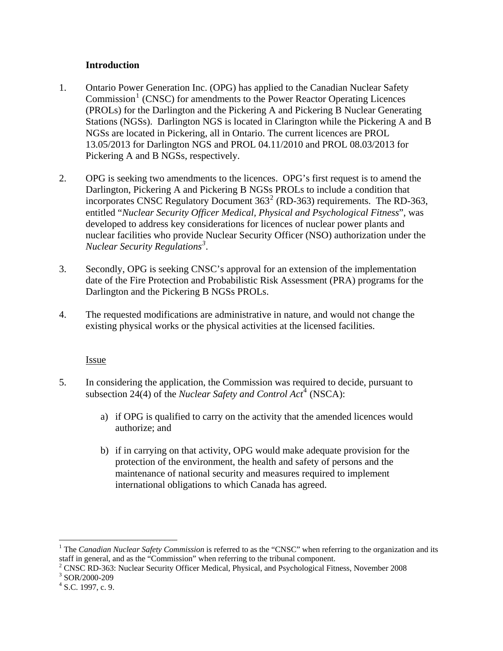### **Introduction**

- <span id="page-3-0"></span>1. Ontario Power Generation Inc. (OPG) has applied to the Canadian Nuclear Safety Commission<sup>[1](#page-3-1)</sup> (CNSC) for amendments to the Power Reactor Operating Licences (PROLs) for the Darlington and the Pickering A and Pickering B Nuclear Generating Stations (NGSs). Darlington NGS is located in Clarington while the Pickering A and B NGSs are located in Pickering, all in Ontario. The current licences are PROL 13.05/2013 for Darlington NGS and PROL 04.11/2010 and PROL 08.03/2013 for Pickering A and B NGSs, respectively.
- 2. OPG is seeking two amendments to the licences. OPG's first request is to amend the Darlington, Pickering A and Pickering B NGSs PROLs to include a condition that incorporates CNSC Regulatory Document  $363<sup>2</sup>$  $363<sup>2</sup>$  $363<sup>2</sup>$  (RD-363) requirements. The RD-363, entitled "*Nuclear Security Officer Medical, Physical and Psychological Fitness*", was developed to address key considerations for licences of nuclear power plants and nuclear facilities who provide Nuclear Security Officer (NSO) authorization under the *Nuclear Security Regulations[3](#page-3-3) .*
- 3. Secondly, OPG is seeking CNSC's approval for an extension of the implementation date of the Fire Protection and Probabilistic Risk Assessment (PRA) programs for the Darlington and the Pickering B NGSs PROLs.
- 4. The requested modifications are administrative in nature, and would not change the existing physical works or the physical activities at the licensed facilities.

#### **Issue**

- 5. In considering the application, the Commission was required to decide, pursuant to subsection 2[4](#page-3-4)(4) of the *Nuclear Safety and Control Act*<sup>4</sup> (NSCA):
	- a) if OPG is qualified to carry on the activity that the amended licences would authorize; and
	- b) if in carrying on that activity, OPG would make adequate provision for the protection of the environment, the health and safety of persons and the maintenance of national security and measures required to implement international obligations to which Canada has agreed.

 $\overline{a}$ 

<span id="page-3-1"></span><sup>&</sup>lt;sup>1</sup> The *Canadian Nuclear Safety Commission* is referred to as the "CNSC" when referring to the organization and its staff in general, and as the "Commission" when referring to the tribunal component.

<sup>&</sup>lt;sup>2</sup> CNSC RD-363: Nuclear Security Officer Medical, Physical, and Psychological Fitness, November 2008<br><sup>3</sup> SOP/2000-200

<span id="page-3-3"></span><span id="page-3-2"></span><sup>&</sup>lt;sup>3</sup> SOR/2000-209

<span id="page-3-4"></span> $4$  S.C. 1997, c. 9.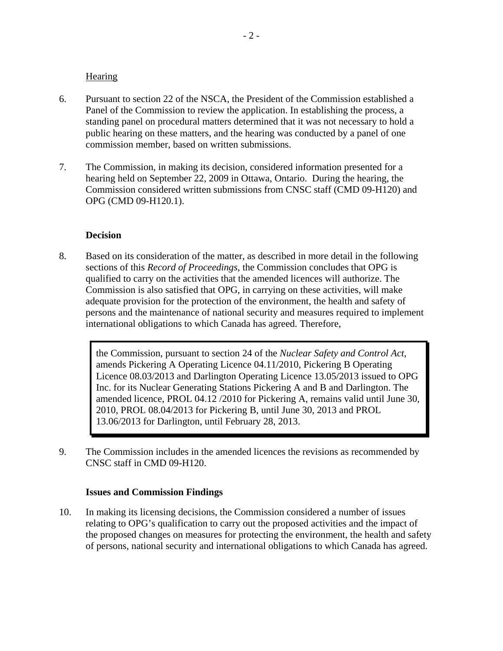#### **Hearing**

- <span id="page-4-0"></span>6. Pursuant to section 22 of the NSCA, the President of the Commission established a Panel of the Commission to review the application. In establishing the process, a standing panel on procedural matters determined that it was not necessary to hold a public hearing on these matters, and the hearing was conducted by a panel of one commission member, based on written submissions.
- 7. The Commission, in making its decision, considered information presented for a hearing held on September 22, 2009 in Ottawa, Ontario. During the hearing, the Commission considered written submissions from CNSC staff (CMD 09-H120) and OPG (CMD 09-H120.1).

#### **Decision**

8. Based on its consideration of the matter, as described in more detail in the following sections of this *Record of Proceedings*, the Commission concludes that OPG is qualified to carry on the activities that the amended licences will authorize. The Commission is also satisfied that OPG, in carrying on these activities, will make adequate provision for the protection of the environment, the health and safety of persons and the maintenance of national security and measures required to implement international obligations to which Canada has agreed. Therefore,

> the Commission, pursuant to section 24 of the *Nuclear Safety and Control Act*, amends Pickering A Operating Licence 04.11/2010, Pickering B Operating Licence 08.03/2013 and Darlington Operating Licence 13.05/2013 issued to OPG Inc. for its Nuclear Generating Stations Pickering A and B and Darlington. The amended licence, PROL 04.12 /2010 for Pickering A, remains valid until June 30, 2010, PROL 08.04/2013 for Pickering B, until June 30, 2013 and PROL 13.06/2013 for Darlington, until February 28, 2013.

9. The Commission includes in the amended licences the revisions as recommended by CNSC staff in CMD 09-H120.

#### **Issues and Commission Findings**

10. In making its licensing decisions, the Commission considered a number of issues relating to OPG's qualification to carry out the proposed activities and the impact of the proposed changes on measures for protecting the environment, the health and safety of persons, national security and international obligations to which Canada has agreed.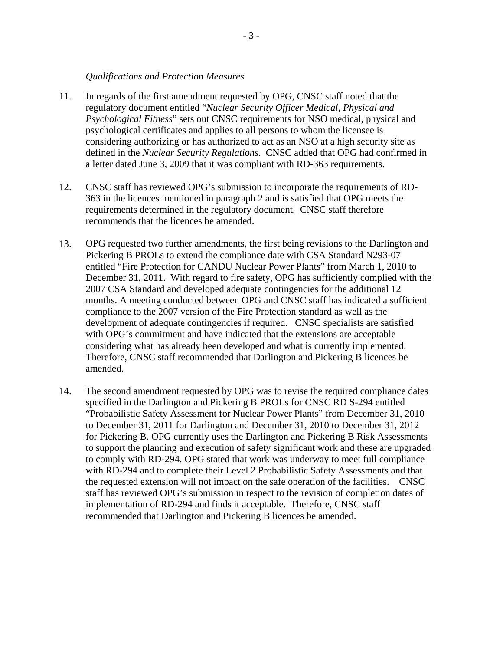#### *Qualifications and Protection Measures*

- <span id="page-5-0"></span>11. In regards of the first amendment requested by OPG, CNSC staff noted that the regulatory document entitled "*Nuclear Security Officer Medical, Physical and Psychological Fitness*" sets out CNSC requirements for NSO medical, physical and psychological certificates and applies to all persons to whom the licensee is considering authorizing or has authorized to act as an NSO at a high security site as defined in the *Nuclear Security Regulations*. CNSC added that OPG had confirmed in a letter dated June 3, 2009 that it was compliant with RD-363 requirements.
- 12. CNSC staff has reviewed OPG's submission to incorporate the requirements of RD-363 in the licences mentioned in paragraph 2 and is satisfied that OPG meets the requirements determined in the regulatory document. CNSC staff therefore recommends that the licences be amended.
- 13. OPG requested two further amendments, the first being revisions to the Darlington and Pickering B PROLs to extend the compliance date with CSA Standard N293-07 entitled "Fire Protection for CANDU Nuclear Power Plants" from March 1, 2010 to December 31, 2011. With regard to fire safety, OPG has sufficiently complied with the 2007 CSA Standard and developed adequate contingencies for the additional 12 months. A meeting conducted between OPG and CNSC staff has indicated a sufficient compliance to the 2007 version of the Fire Protection standard as well as the development of adequate contingencies if required. CNSC specialists are satisfied with OPG's commitment and have indicated that the extensions are acceptable considering what has already been developed and what is currently implemented. Therefore, CNSC staff recommended that Darlington and Pickering B licences be amended.
- 14. The second amendment requested by OPG was to revise the required compliance dates specified in the Darlington and Pickering B PROLs for CNSC RD S-294 entitled "Probabilistic Safety Assessment for Nuclear Power Plants" from December 31, 2010 to December 31, 2011 for Darlington and December 31, 2010 to December 31, 2012 for Pickering B. OPG currently uses the Darlington and Pickering B Risk Assessments to support the planning and execution of safety significant work and these are upgraded to comply with RD-294. OPG stated that work was underway to meet full compliance with RD-294 and to complete their Level 2 Probabilistic Safety Assessments and that the requested extension will not impact on the safe operation of the facilities. CNSC staff has reviewed OPG's submission in respect to the revision of completion dates of implementation of RD-294 and finds it acceptable. Therefore, CNSC staff recommended that Darlington and Pickering B licences be amended.